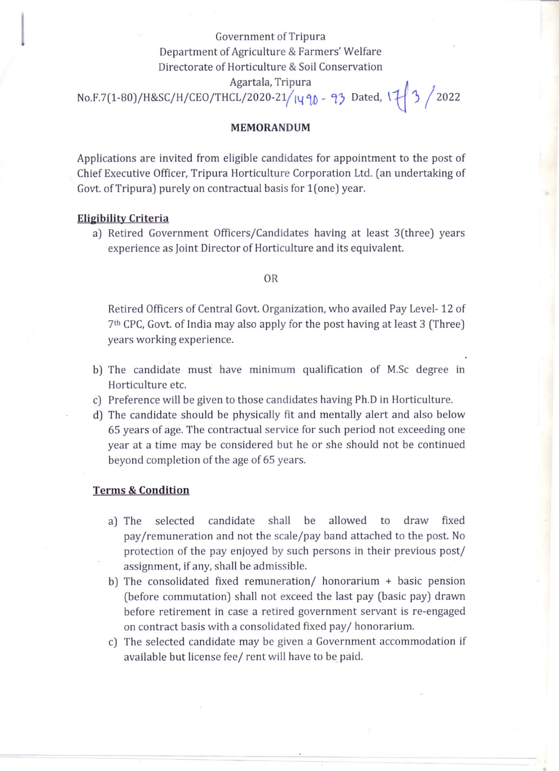# Government of Tripura Department of Agriculture & Farmers' Welfare Directorate of Horticulture & Soil Conservation Agartala, Tripura  $No.F.7(1-80)/H&SC/H/CEO/THCL/2020-21/1490 - 93 Dated, 17/3 /2022$

## MEMORANDUM

Applications are invited from eligible candidates for appointment to the post of Chief Executive Officer, Tripura Horticulture Corporation Ltd. (an undertaking of Govt. of Tripura) purely on contractual basis for 1(one) year.

### Eligibility Criteria

a) Retired Government Officers/Candidates having at least 3(three) years experience as joint Director of Horticulture and its equivalent.

#### OR

Retired Officers of Central Govt. Organization, who availed Pay Level- 12 of 7"' CPC, Govt. of India may also apply for the post having at least 3 (Three) years working experience.

- b] The candidate must have minimum qualification of M.Sc degree in Horticulture etc.
- c) Preference will be given to those candidates having Ph.D in Horticulture.
- d) The candidate should be physically fit and mentally alert and also below 65 years of age. The contractual service for such period not exceeding one year at a time may be considered but he or she should not be continued beyond completion of the age of 65 years.

### Terms & Condition

- a) The selected candidate shall be allowed to draw fixed pay/remuneration and not the scale/pay band attached to the post. No protection of the pay enjoyed by such persons in their previous post/ assignment, if any, shall be admissible.
- b] The consolidated fixed remuneration/ honorarium + basic pension (before commutation) shall not exceed the last pay (basic pay) drawn before retirement in case a retired government servant is re-engaged on contract basis with a consolidated fixed pay/ honorarium.
- c) The selected candidate may be given <sup>a</sup> Government accommodation if available but license fee/ rent will have to be paid.